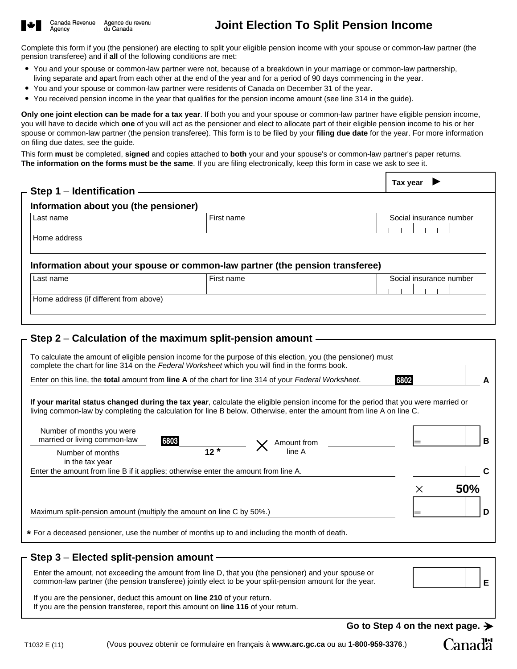

## **Joint Election To Split Pension Income**

Complete this form if you (the pensioner) are electing to split your eligible pension income with your spouse or common-law partner (the pension transferee) and if **all** of the following conditions are met:

- You and your spouse or common-law partner were not, because of a breakdown in your marriage or common-law partnership, living separate and apart from each other at the end of the year and for a period of 90 days commencing in the year.
- You and your spouse or common-law partner were residents of Canada on December 31 of the year.
- You received pension income in the year that qualifies for the pension income amount (see line 314 in the guide).

**Only one joint election can be made for a tax year**. If both you and your spouse or common-law partner have eligible pension income, you will have to decide which **one** of you will act as the pensioner and elect to allocate part of their eligible pension income to his or her spouse or common-law partner (the pension transferee). This form is to be filed by your **filing due date** for the year. For more information on filing due dates, see the guide.

This form **must** be completed, **signed** and copies attached to **both** your and your spouse's or common-law partner's paper returns. **The information on the forms must be the same**. If you are filing electronically, keep this form in case we ask to see it.

| – Step 1 – Identification                                            |                                                                                                                                                                                                                                                           | Tax year                |
|----------------------------------------------------------------------|-----------------------------------------------------------------------------------------------------------------------------------------------------------------------------------------------------------------------------------------------------------|-------------------------|
| Information about you (the pensioner)                                |                                                                                                                                                                                                                                                           |                         |
| Last name                                                            | First name                                                                                                                                                                                                                                                | Social insurance number |
| Home address                                                         |                                                                                                                                                                                                                                                           |                         |
|                                                                      | Information about your spouse or common-law partner (the pension transferee)                                                                                                                                                                              |                         |
| Last name                                                            | First name                                                                                                                                                                                                                                                | Social insurance number |
| Home address (if different from above)                               |                                                                                                                                                                                                                                                           |                         |
|                                                                      |                                                                                                                                                                                                                                                           |                         |
|                                                                      | – Step 2 – Calculation of the maximum split-pension amount -                                                                                                                                                                                              |                         |
|                                                                      | To calculate the amount of eligible pension income for the purpose of this election, you (the pensioner) must<br>complete the chart for line 314 on the Federal Worksheet which you will find in the forms book.                                          |                         |
|                                                                      | Enter on this line, the total amount from line A of the chart for line 314 of your Federal Worksheet.                                                                                                                                                     | 6802                    |
| Number of months you were                                            | If your marital status changed during the tax year, calculate the eligible pension income for the period that you were married or<br>living common-law by completing the calculation for line B below. Otherwise, enter the amount from line A on line C. |                         |
| married or living common-law                                         | 6803<br>Amount from                                                                                                                                                                                                                                       | B                       |
| Number of months<br>in the tax year                                  | $12 \times$<br>line A                                                                                                                                                                                                                                     |                         |
|                                                                      | Enter the amount from line B if it applies; otherwise enter the amount from line A.                                                                                                                                                                       | C                       |
|                                                                      |                                                                                                                                                                                                                                                           | 50%<br>$\times$         |
| Maximum split-pension amount (multiply the amount on line C by 50%.) |                                                                                                                                                                                                                                                           | D                       |
|                                                                      | * For a deceased pensioner, use the number of months up to and including the month of death.                                                                                                                                                              |                         |

## **Step 3** – **Elected split-pension amount**

Enter the amount, not exceeding the amount from line D, that you (the pensioner) and your spouse or common-law partner (the pension transferee) jointly elect to be your split-pension amount for the year.

If you are the pensioner, deduct this amount on **line 210** of your return.

If you are the pension transferee, report this amount on **line 116** of your return.

Go to Step 4 on the next page.  $\rightarrow$ 

**E**

Canadä